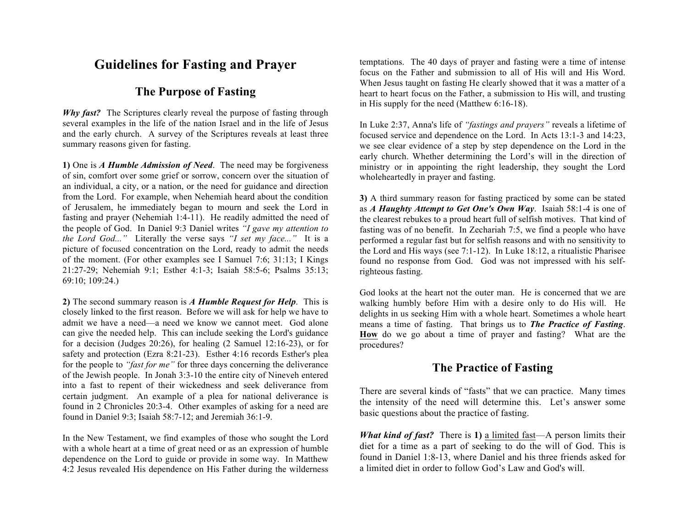## **Guidelines for Fasting and Prayer**

## **The Purpose of Fasting**

*Why fast?* The Scriptures clearly reveal the purpose of fasting through several examples in the life of the nation Israel and in the life of Jesus and the early church. A survey of the Scriptures reveals at least three summary reasons given for fasting.

**1)** One is *A Humble Admission of Need*. The need may be forgiveness of sin, comfort over some grief or sorrow, concern over the situation of an individual, a city, or a nation, or the need for guidance and direction from the Lord. For example, when Nehemiah heard about the condition of Jerusalem, he immediately began to mourn and seek the Lord in fasting and prayer (Nehemiah 1:4-11). He readily admitted the need of the people of God. In Daniel 9:3 Daniel writes *"I gave my attention to the Lord God..."* Literally the verse says *"I set my face..."* It is a picture of focused concentration on the Lord, ready to admit the needs of the moment. (For other examples see I Samuel 7:6; 31:13; I Kings 21:27-29; Nehemiah 9:1; Esther 4:1-3; Isaiah 58:5-6; Psalms 35:13; 69:10; 109:24.)

**2)** The second summary reason is *A Humble Request for Help*. This is closely linked to the first reason. Before we will ask for help we have to admit we have a need—a need we know we cannot meet. God alone can give the needed help. This can include seeking the Lord's guidance for a decision (Judges 20:26), for healing (2 Samuel 12:16-23), or for safety and protection (Ezra 8:21-23). Esther 4:16 records Esther's plea for the people to *"fast for me"* for three days concerning the deliverance of the Jewish people. In Jonah 3:3-10 the entire city of Nineveh entered into a fast to repent of their wickedness and seek deliverance from certain judgment. An example of a plea for national deliverance is found in 2 Chronicles 20:3-4. Other examples of asking for a need are found in Daniel 9:3; Isaiah 58:7-12; and Jeremiah 36:1-9.

In the New Testament, we find examples of those who sought the Lord with a whole heart at a time of great need or as an expression of humble dependence on the Lord to guide or provide in some way. In Matthew 4:2 Jesus revealed His dependence on His Father during the wilderness temptations. The 40 days of prayer and fasting were a time of intense focus on the Father and submission to all of His will and His Word. When Jesus taught on fasting He clearly showed that it was a matter of a heart to heart focus on the Father, a submission to His will, and trusting in His supply for the need (Matthew 6:16-18).

In Luke 2:37, Anna's life of *"fastings and prayers"* reveals a lifetime of focused service and dependence on the Lord. In Acts 13:1-3 and 14:23, we see clear evidence of a step by step dependence on the Lord in the early church. Whether determining the Lord's will in the direction of ministry or in appointing the right leadership, they sought the Lord wholeheartedly in prayer and fasting.

**3)** A third summary reason for fasting practiced by some can be stated as *A Haughty Attempt to Get One's Own Way*. Isaiah 58:1-4 is one of the clearest rebukes to a proud heart full of selfish motives. That kind of fasting was of no benefit. In Zechariah 7:5, we find a people who have performed a regular fast but for selfish reasons and with no sensitivity to the Lord and His ways (see 7:1-12). In Luke 18:12, a ritualistic Pharisee found no response from God. God was not impressed with his selfrighteous fasting.

God looks at the heart not the outer man. He is concerned that we are walking humbly before Him with a desire only to do His will. He delights in us seeking Him with a whole heart. Sometimes a whole heart means a time of fasting. That brings us to *The Practice of Fasting*. **How** do we go about a time of prayer and fasting? What are the procedures?

## **The Practice of Fasting**

There are several kinds of "fasts" that we can practice. Many times the intensity of the need will determine this. Let's answer some basic questions about the practice of fasting.

*What kind of fast?* There is **1)** a limited fast—A person limits their diet for a time as a part of seeking to do the will of God. This is found in Daniel 1:8-13, where Daniel and his three friends asked for a limited diet in order to follow God's Law and God's will.